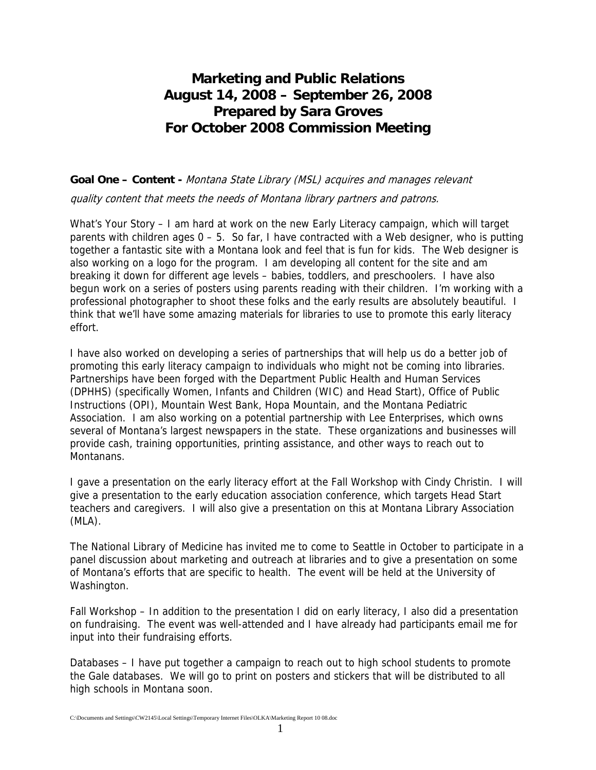## **Marketing and Public Relations August 14, 2008 – September 26, 2008 Prepared by Sara Groves For October 2008 Commission Meeting**

## **Goal One – Content -** Montana State Library (MSL) acquires and manages relevant

quality content that meets the needs of Montana library partners and patrons.

What's Your Story – I am hard at work on the new Early Literacy campaign, which will target parents with children ages  $0 - 5$ . So far, I have contracted with a Web designer, who is putting together a fantastic site with a Montana look and feel that is fun for kids. The Web designer is also working on a logo for the program. I am developing all content for the site and am breaking it down for different age levels – babies, toddlers, and preschoolers. I have also begun work on a series of posters using parents reading with their children. I'm working with a professional photographer to shoot these folks and the early results are absolutely beautiful. I think that we'll have some amazing materials for libraries to use to promote this early literacy effort.

I have also worked on developing a series of partnerships that will help us do a better job of promoting this early literacy campaign to individuals who might not be coming into libraries. Partnerships have been forged with the Department Public Health and Human Services (DPHHS) (specifically Women, Infants and Children (WIC) and Head Start), Office of Public Instructions (OPI), Mountain West Bank, Hopa Mountain, and the Montana Pediatric Association. I am also working on a potential partnership with Lee Enterprises, which owns several of Montana's largest newspapers in the state. These organizations and businesses will provide cash, training opportunities, printing assistance, and other ways to reach out to Montanans.

I gave a presentation on the early literacy effort at the Fall Workshop with Cindy Christin. I will give a presentation to the early education association conference, which targets Head Start teachers and caregivers. I will also give a presentation on this at Montana Library Association (MLA).

The National Library of Medicine has invited me to come to Seattle in October to participate in a panel discussion about marketing and outreach at libraries and to give a presentation on some of Montana's efforts that are specific to health. The event will be held at the University of Washington.

Fall Workshop – In addition to the presentation I did on early literacy, I also did a presentation on fundraising. The event was well-attended and I have already had participants email me for input into their fundraising efforts.

Databases – I have put together a campaign to reach out to high school students to promote the Gale databases. We will go to print on posters and stickers that will be distributed to all high schools in Montana soon.